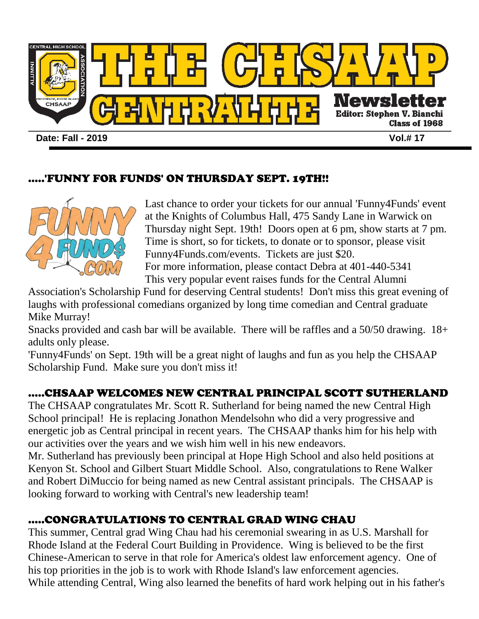

#### 'FUNNY FOR FUNDS' ON THURSDAY SEPT. 19TH!!



Last chance to order your tickets for our annual 'Funny4Funds' event at the Knights of Columbus Hall, 475 Sandy Lane in Warwick on Thursday night Sept. 19th! Doors open at 6 pm, show starts at 7 pm. Time is short, so for tickets, to donate or to sponsor, please visit Funny4Funds.com/events. Tickets are just \$20. For more information, please contact Debra at 401-440-5341 This very popular event raises funds for the Central Alumni

Association's Scholarship Fund for deserving Central students! Don't miss this great evening of laughs with professional comedians organized by long time comedian and Central graduate Mike Murray!

Snacks provided and cash bar will be available. There will be raffles and a 50/50 drawing. 18+ adults only please.

'Funny4Funds' on Sept. 19th will be a great night of laughs and fun as you help the CHSAAP Scholarship Fund. Make sure you don't miss it!

## .....CHSAAP WELCOMES NEW CENTRAL PRINCIPAL SCOTT SUTHERLAND

The CHSAAP congratulates Mr. Scott R. Sutherland for being named the new Central High School principal! He is replacing Jonathon Mendelsohn who did a very progressive and energetic job as Central principal in recent years. The CHSAAP thanks him for his help with our activities over the years and we wish him well in his new endeavors.

Mr. Sutherland has previously been principal at Hope High School and also held positions at Kenyon St. School and Gilbert Stuart Middle School. Also, congratulations to Rene Walker and Robert DiMuccio for being named as new Central assistant principals. The CHSAAP is looking forward to working with Central's new leadership team!

### .....CONGRATULATIONS TO CENTRAL GRAD WING CHAU

This summer, Central grad Wing Chau had his ceremonial swearing in as U.S. Marshall for Rhode Island at the Federal Court Building in Providence. Wing is believed to be the first Chinese-American to serve in that role for America's oldest law enforcement agency. One of his top priorities in the job is to work with Rhode Island's law enforcement agencies. While attending Central, Wing also learned the benefits of hard work helping out in his father's